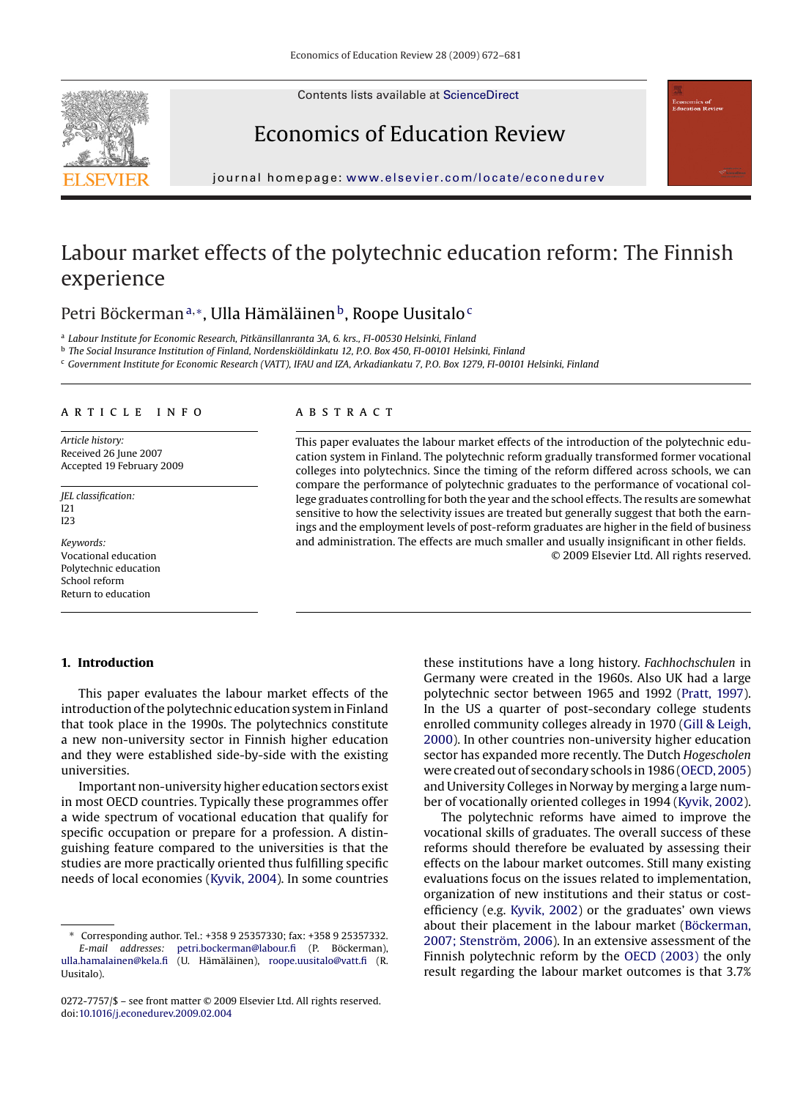Contents lists available at [ScienceDirect](http://www.sciencedirect.com/science/journal/02727757)



Economics of Education Review



journal homepage: [www.elsevier.com/locate/econedurev](http://www.elsevier.com/locate/econedurev)

## Labour market effects of the polytechnic education reform: The Finnish experience

Petri Böckerman<sup>a,∗</sup>, Ulla Hämäläinen<sup>b</sup>, Roope Uusitalo<sup>c</sup>

<sup>a</sup> *Labour Institute for Economic Research, Pitkänsillanranta 3A, 6. krs., FI-00530 Helsinki, Finland*

<sup>b</sup> *The Social Insurance Institution of Finland, Nordenskiöldinkatu 12, P.O. Box 450, FI-00101 Helsinki, Finland*

<sup>c</sup> *Government Institute for Economic Research (VATT), IFAU and IZA, Arkadiankatu 7, P.O. Box 1279, FI-00101 Helsinki, Finland*

#### article info

*Article history:* Received 26 June 2007 Accepted 19 February 2009

*JEL classification:* I21 I23

*Keywords:* Vocational education Polytechnic education School reform Return to education

## **1. Introduction**

## This paper evaluates the labour market effects of the introduction of the polytechnic education system in Finland that took place in the 1990s. The polytechnics constitute a new non-university sector in Finnish higher education and they were established side-by-side with the existing universities.

Important non-university higher education sectors exist in most OECD countries. Typically these programmes offer a wide spectrum of vocational education that qualify for specific occupation or prepare for a profession. A distinguishing feature compared to the universities is that the studies are more practically oriented thus fulfilling specific needs of local economies [\(Kyvik, 2004\).](#page--1-0) In some countries

#### **ABSTRACT**

This paper evaluates the labour market effects of the introduction of the polytechnic education system in Finland. The polytechnic reform gradually transformed former vocational colleges into polytechnics. Since the timing of the reform differed across schools, we can compare the performance of polytechnic graduates to the performance of vocational college graduates controlling for both the year and the school effects. The results are somewhat sensitive to how the selectivity issues are treated but generally suggest that both the earnings and the employment levels of post-reform graduates are higher in the field of business and administration. The effects are much smaller and usually insignificant in other fields. © 2009 Elsevier Ltd. All rights reserved.

> these institutions have a long history. *Fachhochschulen* in Germany were created in the 1960s. Also UK had a large polytechnic sector between 1965 and 1992 [\(Pratt, 1997\).](#page--1-0) In the US a quarter of post-secondary college students enrolled community colleges already in 1970 ([Gill & Leigh,](#page--1-0) [2000\).](#page--1-0) In other countries non-university higher education sector has expanded more recently. The Dutch *Hogescholen* were created out of secondary schools in 1986 [\(OECD, 2005\)](#page--1-0) and University Colleges in Norway by merging a large number of vocationally oriented colleges in 1994 [\(Kyvik, 2002\).](#page--1-0)

> The polytechnic reforms have aimed to improve the vocational skills of graduates. The overall success of these reforms should therefore be evaluated by assessing their effects on the labour market outcomes. Still many existing evaluations focus on the issues related to implementation, organization of new institutions and their status or costefficiency (e.g. [Kyvik, 2002\)](#page--1-0) or the graduates' own views about their placement in the labour market ([Böckerman,](#page--1-0) [2007; Stenström, 2006\).](#page--1-0) In an extensive assessment of the Finnish polytechnic reform by the [OECD \(2003\)](#page--1-0) the only result regarding the labour market outcomes is that 3.7%

<sup>∗</sup> Corresponding author. Tel.: +358 9 25357330; fax: +358 9 25357332. *E-mail addresses:* [petri.bockerman@labour.fi](mailto:petri.bockerman@labour.fi) (P. Böckerman), [ulla.hamalainen@kela.fi](mailto:ulla.hamalainen@kela.fi) (U. Hämäläinen), [roope.uusitalo@vatt.fi](mailto:roope.uusitalo@vatt.fi) (R. Uusitalo).

<sup>0272-7757/\$ –</sup> see front matter © 2009 Elsevier Ltd. All rights reserved. doi[:10.1016/j.econedurev.2009.02.004](dx.doi.org/10.1016/j.econedurev.2009.02.004)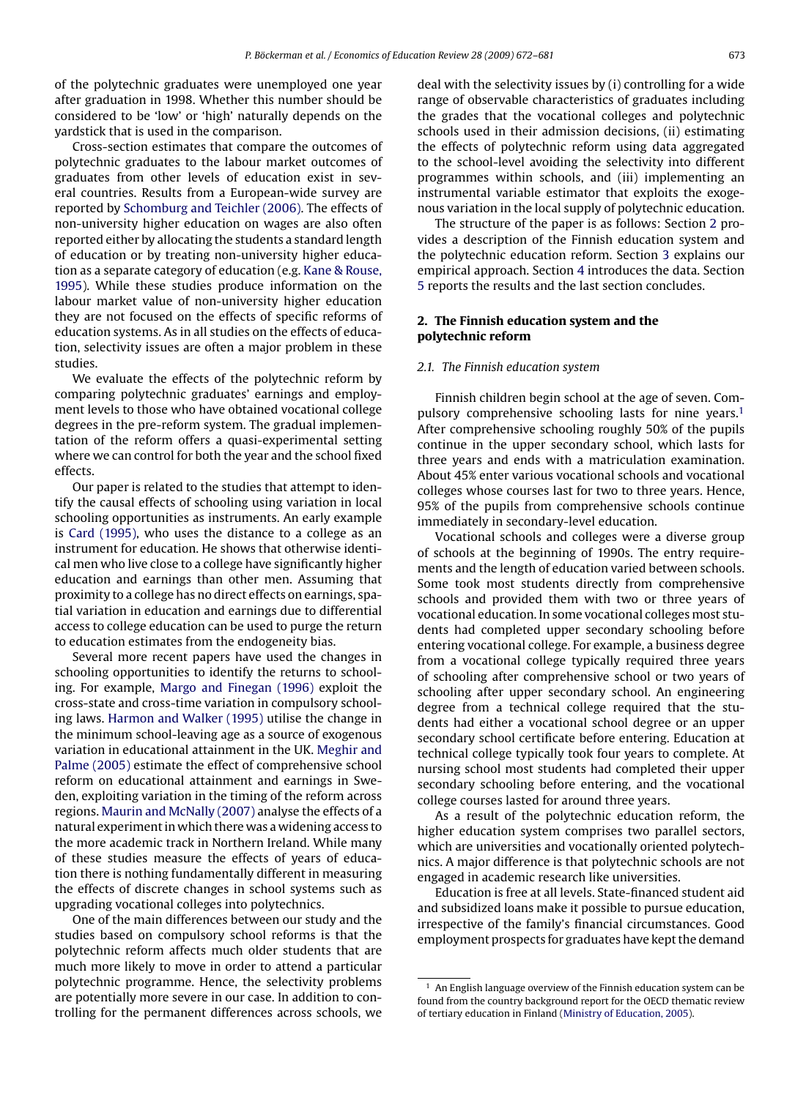of the polytechnic graduates were unemployed one year after graduation in 1998. Whether this number should be considered to be 'low' or 'high' naturally depends on the yardstick that is used in the comparison.

Cross-section estimates that compare the outcomes of polytechnic graduates to the labour market outcomes of graduates from other levels of education exist in several countries. Results from a European-wide survey are reported by [Schomburg and Teichler \(2006\). T](#page--1-0)he effects of non-university higher education on wages are also often reported either by allocating the students a standard length of education or by treating non-university higher education as a separate category of education (e.g. [Kane & Rouse,](#page--1-0) [1995\).](#page--1-0) While these studies produce information on the labour market value of non-university higher education they are not focused on the effects of specific reforms of education systems. As in all studies on the effects of education, selectivity issues are often a major problem in these studies.

We evaluate the effects of the polytechnic reform by comparing polytechnic graduates' earnings and employment levels to those who have obtained vocational college degrees in the pre-reform system. The gradual implementation of the reform offers a quasi-experimental setting where we can control for both the year and the school fixed effects.

Our paper is related to the studies that attempt to identify the causal effects of schooling using variation in local schooling opportunities as instruments. An early example is [Card \(1995\),](#page--1-0) who uses the distance to a college as an instrument for education. He shows that otherwise identical men who live close to a college have significantly higher education and earnings than other men. Assuming that proximity to a college has no direct effects on earnings, spatial variation in education and earnings due to differential access to college education can be used to purge the return to education estimates from the endogeneity bias.

Several more recent papers have used the changes in schooling opportunities to identify the returns to schooling. For example, [Margo and Finegan \(1996\)](#page--1-0) exploit the cross-state and cross-time variation in compulsory schooling laws. [Harmon and Walker \(1995\)](#page--1-0) utilise the change in the minimum school-leaving age as a source of exogenous variation in educational attainment in the UK. [Meghir and](#page--1-0) [Palme \(2005\)](#page--1-0) estimate the effect of comprehensive school reform on educational attainment and earnings in Sweden, exploiting variation in the timing of the reform across regions. [Maurin and McNally \(2007\)](#page--1-0) analyse the effects of a natural experiment in which there was a widening access to the more academic track in Northern Ireland. While many of these studies measure the effects of years of education there is nothing fundamentally different in measuring the effects of discrete changes in school systems such as upgrading vocational colleges into polytechnics.

One of the main differences between our study and the studies based on compulsory school reforms is that the polytechnic reform affects much older students that are much more likely to move in order to attend a particular polytechnic programme. Hence, the selectivity problems are potentially more severe in our case. In addition to controlling for the permanent differences across schools, we deal with the selectivity issues by (i) controlling for a wide range of observable characteristics of graduates including the grades that the vocational colleges and polytechnic schools used in their admission decisions, (ii) estimating the effects of polytechnic reform using data aggregated to the school-level avoiding the selectivity into different programmes within schools, and (iii) implementing an instrumental variable estimator that exploits the exogenous variation in the local supply of polytechnic education.

The structure of the paper is as follows: Section 2 provides a description of the Finnish education system and the polytechnic education reform. Section [3](#page--1-0) explains our empirical approach. Section [4](#page--1-0) introduces the data. Section [5](#page--1-0) reports the results and the last section concludes.

### **2. The Finnish education system and the polytechnic reform**

#### *2.1. The Finnish education system*

Finnish children begin school at the age of seven. Compulsory comprehensive schooling lasts for nine years.<sup>1</sup> After comprehensive schooling roughly 50% of the pupils continue in the upper secondary school, which lasts for three years and ends with a matriculation examination. About 45% enter various vocational schools and vocational colleges whose courses last for two to three years. Hence, 95% of the pupils from comprehensive schools continue immediately in secondary-level education.

Vocational schools and colleges were a diverse group of schools at the beginning of 1990s. The entry requirements and the length of education varied between schools. Some took most students directly from comprehensive schools and provided them with two or three years of vocational education. In some vocational colleges most students had completed upper secondary schooling before entering vocational college. For example, a business degree from a vocational college typically required three years of schooling after comprehensive school or two years of schooling after upper secondary school. An engineering degree from a technical college required that the students had either a vocational school degree or an upper secondary school certificate before entering. Education at technical college typically took four years to complete. At nursing school most students had completed their upper secondary schooling before entering, and the vocational college courses lasted for around three years.

As a result of the polytechnic education reform, the higher education system comprises two parallel sectors, which are universities and vocationally oriented polytechnics. A major difference is that polytechnic schools are not engaged in academic research like universities.

Education is free at all levels. State-financed student aid and subsidized loans make it possible to pursue education, irrespective of the family's financial circumstances. Good employment prospects for graduates have kept the demand

 $1$  An English language overview of the Finnish education system can be found from the country background report for the OECD thematic review of tertiary education in Finland ([Ministry of Education, 2005\).](#page--1-0)